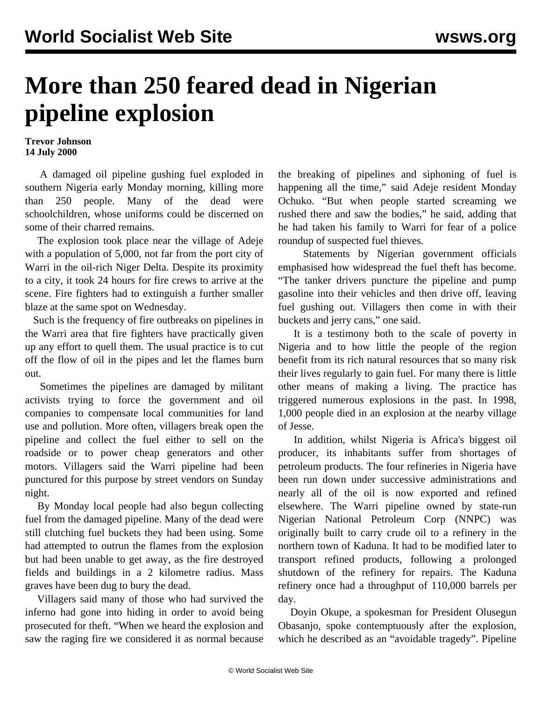## **More than 250 feared dead in Nigerian pipeline explosion**

**Trevor Johnson 14 July 2000**

 A damaged oil pipeline gushing fuel exploded in southern Nigeria early Monday morning, killing more than 250 people. Many of the dead were schoolchildren, whose uniforms could be discerned on some of their charred remains.

 The explosion took place near the village of Adeje with a population of 5,000, not far from the port city of Warri in the oil-rich Niger Delta. Despite its proximity to a city, it took 24 hours for fire crews to arrive at the scene. Fire fighters had to extinguish a further smaller blaze at the same spot on Wednesday.

 Such is the frequency of fire outbreaks on pipelines in the Warri area that fire fighters have practically given up any effort to quell them. The usual practice is to cut off the flow of oil in the pipes and let the flames burn out.

 Sometimes the pipelines are damaged by militant activists trying to force the government and oil companies to compensate local communities for land use and pollution. More often, villagers break open the pipeline and collect the fuel either to sell on the roadside or to power cheap generators and other motors. Villagers said the Warri pipeline had been punctured for this purpose by street vendors on Sunday night.

 By Monday local people had also begun collecting fuel from the damaged pipeline. Many of the dead were still clutching fuel buckets they had been using. Some had attempted to outrun the flames from the explosion but had been unable to get away, as the fire destroyed fields and buildings in a 2 kilometre radius. Mass graves have been dug to bury the dead.

 Villagers said many of those who had survived the inferno had gone into hiding in order to avoid being prosecuted for theft. "When we heard the explosion and saw the raging fire we considered it as normal because

the breaking of pipelines and siphoning of fuel is happening all the time," said Adeje resident Monday Ochuko. "But when people started screaming we rushed there and saw the bodies," he said, adding that he had taken his family to Warri for fear of a police roundup of suspected fuel thieves.

 Statements by Nigerian government officials emphasised how widespread the fuel theft has become. "The tanker drivers puncture the pipeline and pump gasoline into their vehicles and then drive off, leaving fuel gushing out. Villagers then come in with their buckets and jerry cans," one said.

 It is a testimony both to the scale of poverty in Nigeria and to how little the people of the region benefit from its rich natural resources that so many risk their lives regularly to gain fuel. For many there is little other means of making a living. The practice has triggered numerous explosions in the past. In 1998, 1,000 people died in an explosion at the nearby village of Jesse.

 In addition, whilst Nigeria is Africa's biggest oil producer, its inhabitants suffer from shortages of petroleum products. The four refineries in Nigeria have been run down under successive administrations and nearly all of the oil is now exported and refined elsewhere. The Warri pipeline owned by state-run Nigerian National Petroleum Corp (NNPC) was originally built to carry crude oil to a refinery in the northern town of Kaduna. It had to be modified later to transport refined products, following a prolonged shutdown of the refinery for repairs. The Kaduna refinery once had a throughput of 110,000 barrels per day.

 Doyin Okupe, a spokesman for President Olusegun Obasanjo, spoke contemptuously after the explosion, which he described as an "avoidable tragedy". Pipeline